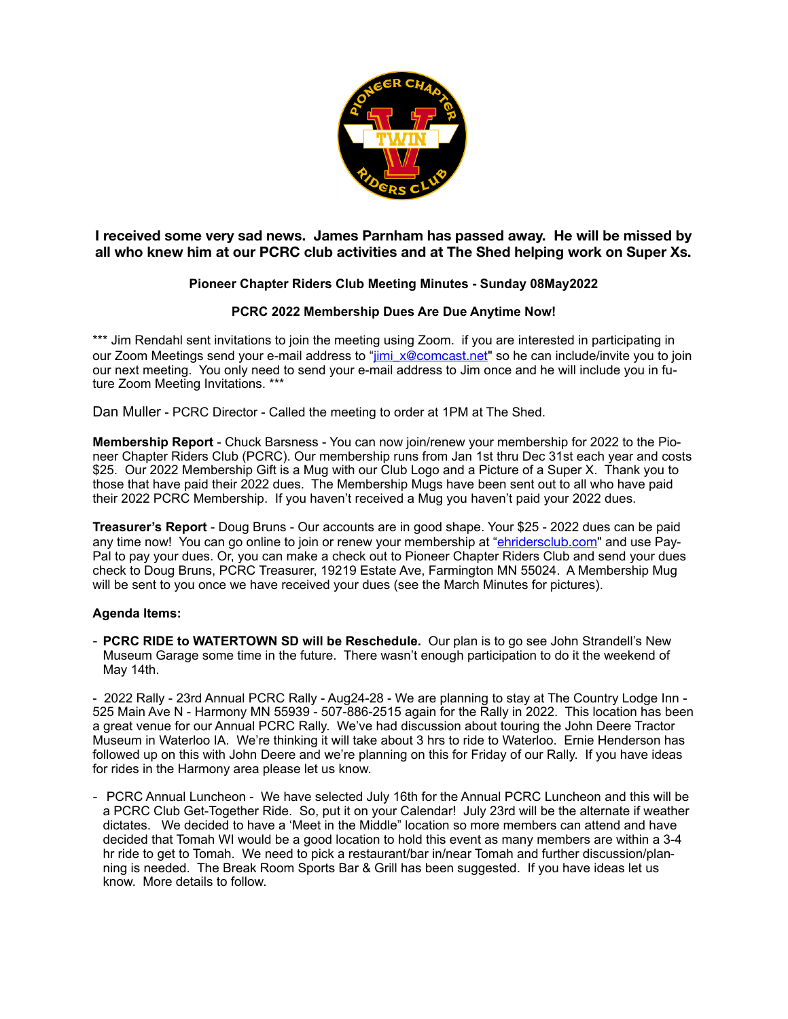

**I received some very sad news. James Parnham has passed away. He will be missed by all who knew him at our PCRC club activities and at The Shed helping work on Super Xs.** 

## **Pioneer Chapter Riders Club Meeting Minutes - Sunday 08May2022**

## **PCRC 2022 Membership Dues Are Due Anytime Now!**

\*\*\* Jim Rendahl sent invitations to join the meeting using Zoom. if you are interested in participating in our Zoom Meetings send your e-mail address to "[jimi\\_x@comcast.net](mailto:jimi_x@comcast.net)" so he can include/invite you to join our next meeting. You only need to send your e-mail address to Jim once and he will include you in future Zoom Meeting Invitations. \*\*\*

Dan Muller - PCRC Director - Called the meeting to order at 1PM at The Shed.

**Membership Report** - Chuck Barsness - You can now join/renew your membership for 2022 to the Pioneer Chapter Riders Club (PCRC). Our membership runs from Jan 1st thru Dec 31st each year and costs \$25. Our 2022 Membership Gift is a Mug with our Club Logo and a Picture of a Super X. Thank you to those that have paid their 2022 dues. The Membership Mugs have been sent out to all who have paid their 2022 PCRC Membership. If you haven't received a Mug you haven't paid your 2022 dues.

**Treasurer's Report** - Doug Bruns - Our accounts are in good shape. Your \$25 - 2022 dues can be paid any time now! You can go online to join or renew your membership at "[ehridersclub.com](http://ehridersclub.com)" and use Pay-Pal to pay your dues. Or, you can make a check out to Pioneer Chapter Riders Club and send your dues check to Doug Bruns, PCRC Treasurer, 19219 Estate Ave, Farmington MN 55024. A Membership Mug will be sent to you once we have received your dues (see the March Minutes for pictures).

## **Agenda Items:**

- **PCRC RIDE to WATERTOWN SD will be Reschedule.** Our plan is to go see John Strandell's New Museum Garage some time in the future. There wasn't enough participation to do it the weekend of May 14th.

- 2022 Rally - 23rd Annual PCRC Rally - Aug24-28 - We are planning to stay at The Country Lodge Inn - 525 Main Ave N - Harmony MN 55939 - 507-886-2515 again for the Rally in 2022. This location has been a great venue for our Annual PCRC Rally. We've had discussion about touring the John Deere Tractor Museum in Waterloo IA. We're thinking it will take about 3 hrs to ride to Waterloo. Ernie Henderson has followed up on this with John Deere and we're planning on this for Friday of our Rally. If you have ideas for rides in the Harmony area please let us know.

- PCRC Annual Luncheon - We have selected July 16th for the Annual PCRC Luncheon and this will be a PCRC Club Get-Together Ride. So, put it on your Calendar! July 23rd will be the alternate if weather dictates. We decided to have a 'Meet in the Middle" location so more members can attend and have decided that Tomah WI would be a good location to hold this event as many members are within a 3-4 hr ride to get to Tomah. We need to pick a restaurant/bar in/near Tomah and further discussion/planning is needed. The Break Room Sports Bar & Grill has been suggested. If you have ideas let us know. More details to follow.